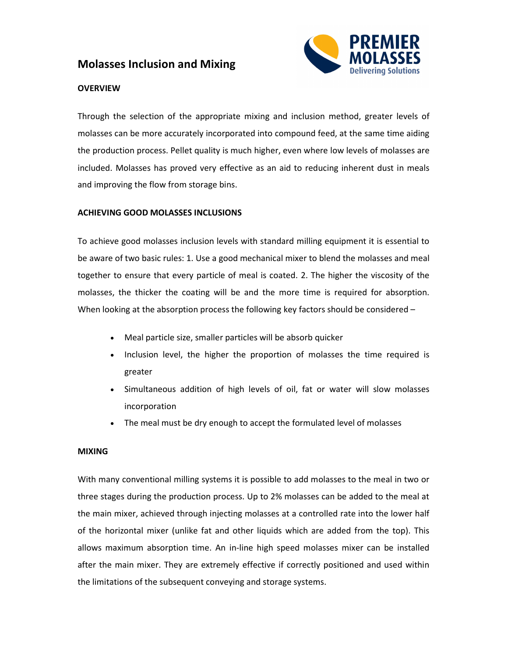# **Molasses Inclusion and Mixing**



## **OVERVIEW**

Through the selection of the appropriate mixing and inclusion method, greater levels of molasses can be more accurately incorporated into compound feed, at the same time aiding the production process. Pellet quality is much higher, even where low levels of molasses are included. Molasses has proved very effective as an aid to reducing inherent dust in meals and improving the flow from storage bins.

### **ACHIEVING GOOD MOLASSES INCLUSIONS**

To achieve good molasses inclusion levels with standard milling equipment it is essential to be aware of two basic rules: 1. Use a good mechanical mixer to blend the molasses and meal together to ensure that every particle of meal is coated. 2. The higher the viscosity of the molasses, the thicker the coating will be and the more time is required for absorption. When looking at the absorption process the following key factors should be considered -

- Meal particle size, smaller particles will be absorb quicker
- Inclusion level, the higher the proportion of molasses the time required is greater
- Simultaneous addition of high levels of oil, fat or water will slow molasses incorporation
- The meal must be dry enough to accept the formulated level of molasses

### **MIXING**

With many conventional milling systems it is possible to add molasses to the meal in two or three stages during the production process. Up to 2% molasses can be added to the meal at the main mixer, achieved through injecting molasses at a controlled rate into the lower half of the horizontal mixer (unlike fat and other liquids which are added from the top). This allows maximum absorption time. An in-line high speed molasses mixer can be installed after the main mixer. They are extremely effective if correctly positioned and used within the limitations of the subsequent conveying and storage systems.